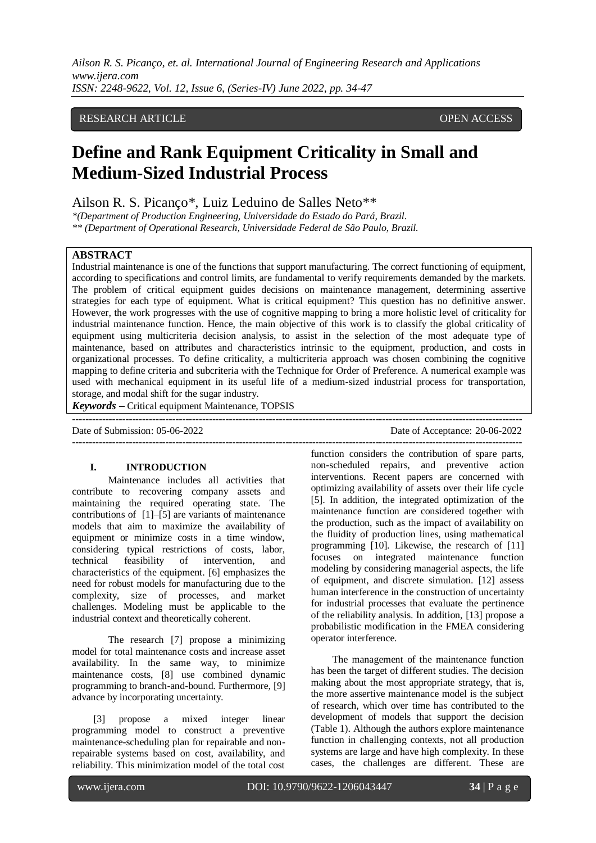## RESEARCH ARTICLE **CONSERVERS** OPEN ACCESS

# **Define and Rank Equipment Criticality in Small and Medium-Sized Industrial Process**

Ailson R. S. Picanço\*, Luiz Leduino de Salles Neto\*\*

*\*(Department of Production Engineering, Universidade do Estado do Pará, Brazil. \*\* (Department of Operational Research, Universidade Federal de São Paulo, Brazil.*

#### **ABSTRACT**

Industrial maintenance is one of the functions that support manufacturing. The correct functioning of equipment, according to specifications and control limits, are fundamental to verify requirements demanded by the markets. The problem of critical equipment guides decisions on maintenance management, determining assertive strategies for each type of equipment. What is critical equipment? This question has no definitive answer. However, the work progresses with the use of cognitive mapping to bring a more holistic level of criticality for industrial maintenance function. Hence, the main objective of this work is to classify the global criticality of equipment using multicriteria decision analysis, to assist in the selection of the most adequate type of maintenance, based on attributes and characteristics intrinsic to the equipment, production, and costs in organizational processes. To define criticality, a multicriteria approach was chosen combining the cognitive mapping to define criteria and subcriteria with the Technique for Order of Preference. A numerical example was used with mechanical equipment in its useful life of a medium-sized industrial process for transportation, storage, and modal shift for the sugar industry.

---------------------------------------------------------------------------------------------------------------------------------------

---------------------------------------------------------------------------------------------------------------------------------------

*Keywords* **–** Critical equipment Maintenance, TOPSIS

Date of Submission: 05-06-2022 Date of Acceptance: 20-06-2022

#### **I. INTRODUCTION**

Maintenance includes all activities that contribute to recovering company assets and maintaining the required operating state. The contributions of [1]–[5] are variants of maintenance models that aim to maximize the availability of equipment or minimize costs in a time window, considering typical restrictions of costs, labor, technical feasibility of intervention, and characteristics of the equipment. [6] emphasizes the need for robust models for manufacturing due to the complexity, size of processes, and market challenges. Modeling must be applicable to the industrial context and theoretically coherent.

The research [7] propose a minimizing model for total maintenance costs and increase asset availability. In the same way, to minimize maintenance costs, [8] use combined dynamic programming to branch-and-bound. Furthermore, [9] advance by incorporating uncertainty.

[3] propose a mixed integer linear programming model to construct a preventive maintenance-scheduling plan for repairable and nonrepairable systems based on cost, availability, and reliability. This minimization model of the total cost

function considers the contribution of spare parts, non-scheduled repairs, and preventive action interventions. Recent papers are concerned with optimizing availability of assets over their life cycle [5]. In addition, the integrated optimization of the maintenance function are considered together with the production, such as the impact of availability on the fluidity of production lines, using mathematical programming [10]. Likewise, the research of [11] focuses on integrated maintenance function modeling by considering managerial aspects, the life of equipment, and discrete simulation. [12] assess human interference in the construction of uncertainty for industrial processes that evaluate the pertinence of the reliability analysis. In addition, [13] propose a probabilistic modification in the FMEA considering operator interference.

The management of the maintenance function has been the target of different studies. The decision making about the most appropriate strategy, that is, the more assertive maintenance model is the subject of research, which over time has contributed to the development of models that support the decision (Table 1). Although the authors explore maintenance function in challenging contexts, not all production systems are large and have high complexity. In these cases, the challenges are different. These are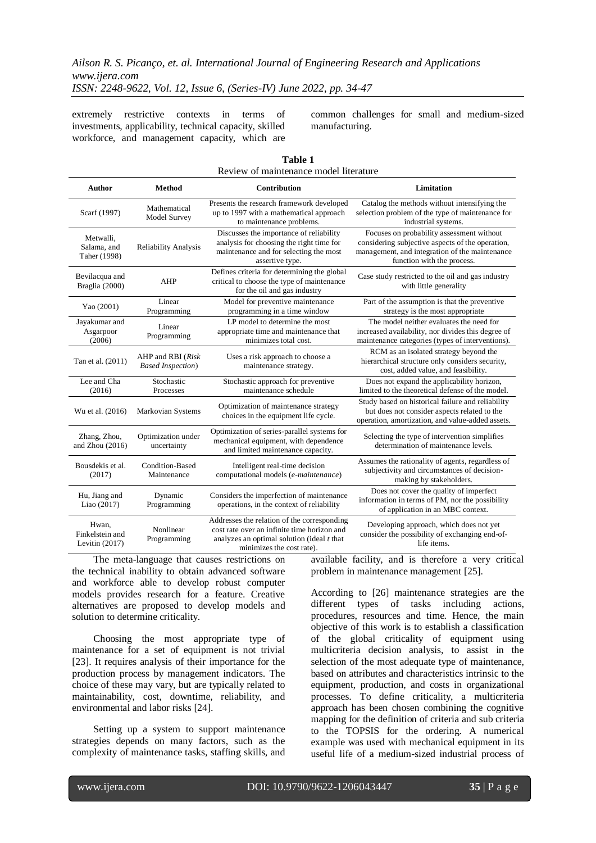extremely restrictive contexts in terms of investments, applicability, technical capacity, skilled workforce, and management capacity, which are

common challenges for small and medium-sized manufacturing.

| <b>Author</b>                                | Method                                         | <b>Contribution</b>                                                                                                                                                     | Limitation                                                                                                                                                                    |
|----------------------------------------------|------------------------------------------------|-------------------------------------------------------------------------------------------------------------------------------------------------------------------------|-------------------------------------------------------------------------------------------------------------------------------------------------------------------------------|
| Scarf (1997)                                 | Mathematical<br>Model Survey                   | Presents the research framework developed<br>up to 1997 with a mathematical approach<br>to maintenance problems.                                                        | Catalog the methods without intensifying the<br>selection problem of the type of maintenance for<br>industrial systems.                                                       |
| Metwalli.<br>Salama, and<br>Taher (1998)     | <b>Reliability Analysis</b>                    | Discusses the importance of reliability<br>analysis for choosing the right time for<br>maintenance and for selecting the most<br>assertive type.                        | Focuses on probability assessment without<br>considering subjective aspects of the operation,<br>management, and integration of the maintenance<br>function with the process. |
| Bevilacqua and<br>Braglia (2000)             | AHP                                            | Defines criteria for determining the global<br>critical to choose the type of maintenance<br>for the oil and gas industry                                               | Case study restricted to the oil and gas industry<br>with little generality                                                                                                   |
| Yao (2001)                                   | Linear<br>Programming                          | Model for preventive maintenance<br>programming in a time window                                                                                                        | Part of the assumption is that the preventive<br>strategy is the most appropriate                                                                                             |
| Jayakumar and<br>Asgarpoor<br>(2006)         | Linear<br>Programming                          | LP model to determine the most<br>appropriate time and maintenance that<br>minimizes total cost.                                                                        | The model neither evaluates the need for<br>increased availability, nor divides this degree of<br>maintenance categories (types of interventions).                            |
| Tan et al. (2011)                            | AHP and RBI (Risk<br><b>Based Inspection</b> ) | Uses a risk approach to choose a<br>maintenance strategy.                                                                                                               | RCM as an isolated strategy beyond the<br>hierarchical structure only considers security,<br>cost, added value, and feasibility.                                              |
| Lee and Cha<br>(2016)                        | Stochastic<br>Processes                        | Stochastic approach for preventive<br>maintenance schedule                                                                                                              | Does not expand the applicability horizon,<br>limited to the theoretical defense of the model.                                                                                |
| Wu et al. (2016)                             | Markovian Systems                              | Optimization of maintenance strategy<br>choices in the equipment life cycle.                                                                                            | Study based on historical failure and reliability<br>but does not consider aspects related to the<br>operation, amortization, and value-added assets.                         |
| Zhang, Zhou,<br>and Zhou $(2016)$            | Optimization under<br>uncertainty              | Optimization of series-parallel systems for<br>mechanical equipment, with dependence<br>and limited maintenance capacity.                                               | Selecting the type of intervention simplifies<br>determination of maintenance levels.                                                                                         |
| Bousdekis et al.<br>(2017)                   | Condition-Based<br>Maintenance                 | Intelligent real-time decision<br>computational models (e-maintenance)                                                                                                  | Assumes the rationality of agents, regardless of<br>subjectivity and circumstances of decision-<br>making by stakeholders.                                                    |
| Hu, Jiang and<br>Liao (2017)                 | Dynamic<br>Programming                         | Considers the imperfection of maintenance<br>operations, in the context of reliability                                                                                  | Does not cover the quality of imperfect<br>information in terms of PM, nor the possibility<br>of application in an MBC context.                                               |
| Hwan,<br>Finkelstein and<br>Levitin $(2017)$ | Nonlinear<br>Programming                       | Addresses the relation of the corresponding<br>cost rate over an infinite time horizon and<br>analyzes an optimal solution (ideal $t$ that<br>minimizes the cost rate). | Developing approach, which does not yet<br>consider the possibility of exchanging end-of-<br>life items.                                                                      |

**Table 1** Review of maintenance model literature

The meta-language that causes restrictions on the technical inability to obtain advanced software and workforce able to develop robust computer models provides research for a feature. Creative alternatives are proposed to develop models and solution to determine criticality.

Choosing the most appropriate type of maintenance for a set of equipment is not trivial [23]. It requires analysis of their importance for the production process by management indicators. The choice of these may vary, but are typically related to maintainability, cost, downtime, reliability, and environmental and labor risks [24].

Setting up a system to support maintenance strategies depends on many factors, such as the complexity of maintenance tasks, staffing skills, and available facility, and is therefore a very critical problem in maintenance management [25].

According to [26] maintenance strategies are the different types of tasks including actions, procedures, resources and time. Hence, the main objective of this work is to establish a classification of the global criticality of equipment using multicriteria decision analysis, to assist in the selection of the most adequate type of maintenance, based on attributes and characteristics intrinsic to the equipment, production, and costs in organizational processes. To define criticality, a multicriteria approach has been chosen combining the cognitive mapping for the definition of criteria and sub criteria to the TOPSIS for the ordering. A numerical example was used with mechanical equipment in its useful life of a medium-sized industrial process of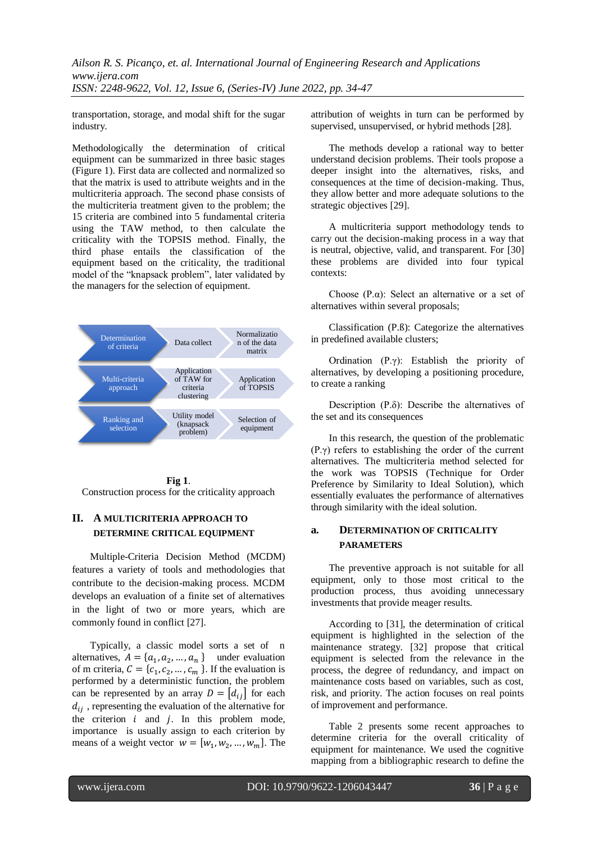transportation, storage, and modal shift for the sugar industry.

Methodologically the determination of critical equipment can be summarized in three basic stages (Figure 1). First data are collected and normalized so that the matrix is used to attribute weights and in the multicriteria approach. The second phase consists of the multicriteria treatment given to the problem; the 15 criteria are combined into 5 fundamental criteria using the TAW method, to then calculate the criticality with the TOPSIS method. Finally, the third phase entails the classification of the equipment based on the criticality, the traditional model of the "knapsack problem", later validated by the managers for the selection of equipment.





## **II. A MULTICRITERIA APPROACH TO DETERMINE CRITICAL EQUIPMENT**

Multiple-Criteria Decision Method (MCDM) features a variety of tools and methodologies that contribute to the decision-making process. MCDM develops an evaluation of a finite set of alternatives in the light of two or more years, which are commonly found in conflict [27].

Typically, a classic model sorts a set of n alternatives,  $A = \{a_1, a_2, ..., a_n\}$  under evaluation of m criteria,  $C = \{c_1, c_2, ..., c_m\}$ . If the evaluation is performed by a deterministic function, the problem can be represented by an array  $D = [d_{ij}]$  for each  $d_{ij}$ , representing the evaluation of the alternative for the criterion  $i$  and  $j$ . In this problem mode, importance is usually assign to each criterion by means of a weight vector  $w = [w_1, w_2, ..., w_m]$ . The attribution of weights in turn can be performed by supervised, unsupervised, or hybrid methods [28].

The methods develop a rational way to better understand decision problems. Their tools propose a deeper insight into the alternatives, risks, and consequences at the time of decision-making. Thus, they allow better and more adequate solutions to the strategic objectives [29].

A multicriteria support methodology tends to carry out the decision-making process in a way that is neutral, objective, valid, and transparent. For [30] these problems are divided into four typical contexts:

Choose  $(P,\alpha)$ : Select an alternative or a set of alternatives within several proposals;

Classification (P.ß): Categorize the alternatives in predefined available clusters;

Ordination (P.γ): Establish the priority of alternatives, by developing a positioning procedure, to create a ranking

Description (P.δ): Describe the alternatives of the set and its consequences

In this research, the question of the problematic (P.γ) refers to establishing the order of the current alternatives. The multicriteria method selected for the work was TOPSIS (Technique for Order Preference by Similarity to Ideal Solution), which essentially evaluates the performance of alternatives through similarity with the ideal solution.

## **a. DETERMINATION OF CRITICALITY PARAMETERS**

The preventive approach is not suitable for all equipment, only to those most critical to the production process, thus avoiding unnecessary investments that provide meager results.

According to [31], the determination of critical equipment is highlighted in the selection of the maintenance strategy. [32] propose that critical equipment is selected from the relevance in the process, the degree of redundancy, and impact on maintenance costs based on variables, such as cost, risk, and priority. The action focuses on real points of improvement and performance.

Table 2 presents some recent approaches to determine criteria for the overall criticality of equipment for maintenance. We used the cognitive mapping from a bibliographic research to define the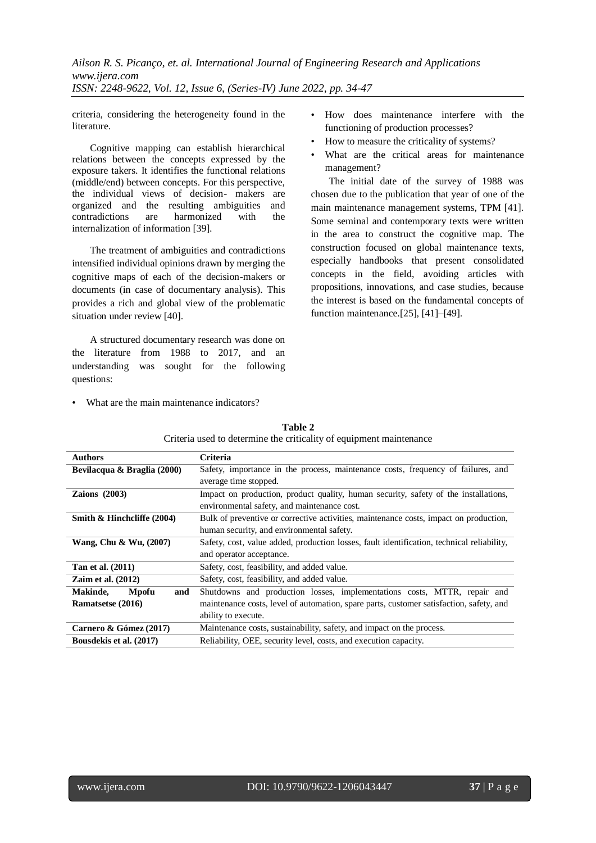criteria, considering the heterogeneity found in the literature.

Cognitive mapping can establish hierarchical relations between the concepts expressed by the exposure takers. It identifies the functional relations (middle/end) between concepts. For this perspective, the individual views of decision- makers are organized and the resulting ambiguities and contradictions are harmonized with the internalization of information [39].

The treatment of ambiguities and contradictions intensified individual opinions drawn by merging the cognitive maps of each of the decision-makers or documents (in case of documentary analysis). This provides a rich and global view of the problematic situation under review [40].

A structured documentary research was done on the literature from 1988 to 2017, and an understanding was sought for the following questions:

- How does maintenance interfere with the functioning of production processes?
- How to measure the criticality of systems?
- What are the critical areas for maintenance management?

The initial date of the survey of 1988 was chosen due to the publication that year of one of the main maintenance management systems, TPM [41]. Some seminal and contemporary texts were written in the area to construct the cognitive map. The construction focused on global maintenance texts, especially handbooks that present consolidated concepts in the field, avoiding articles with propositions, innovations, and case studies, because the interest is based on the fundamental concepts of function maintenance.[25], [41]–[49].

|  | What are the main maintenance indicators? |  |
|--|-------------------------------------------|--|
|  |                                           |  |

| Authors                         | <b>Criteria</b>                                                                            |  |  |  |  |
|---------------------------------|--------------------------------------------------------------------------------------------|--|--|--|--|
| Bevilacqua & Braglia (2000)     | Safety, importance in the process, maintenance costs, frequency of failures, and           |  |  |  |  |
|                                 | average time stopped.                                                                      |  |  |  |  |
| Zaions $(2003)$                 | Impact on production, product quality, human security, safety of the installations,        |  |  |  |  |
|                                 | environmental safety, and maintenance cost.                                                |  |  |  |  |
| Smith & Hinchcliffe (2004)      | Bulk of preventive or corrective activities, maintenance costs, impact on production,      |  |  |  |  |
|                                 | human security, and environmental safety.                                                  |  |  |  |  |
| Wang, Chu & Wu, (2007)          | Safety, cost, value added, production losses, fault identification, technical reliability, |  |  |  |  |
|                                 | and operator acceptance.                                                                   |  |  |  |  |
| Tan et al. (2011)               | Safety, cost, feasibility, and added value.                                                |  |  |  |  |
| Zaim et al. $(2012)$            | Safety, cost, feasibility, and added value.                                                |  |  |  |  |
| Makinde,<br><b>Mpofu</b><br>and | Shutdowns and production losses, implementations costs, MTTR, repair and                   |  |  |  |  |
| Ramatsetse (2016)               | maintenance costs, level of automation, spare parts, customer satisfaction, safety, and    |  |  |  |  |
|                                 | ability to execute.                                                                        |  |  |  |  |
| Carnero & Gómez (2017)          | Maintenance costs, sustainability, safety, and impact on the process.                      |  |  |  |  |
| Bousdekis et al. (2017)         | Reliability, OEE, security level, costs, and execution capacity.                           |  |  |  |  |

**Table 2** Criteria used to determine the criticality of equipment maintenance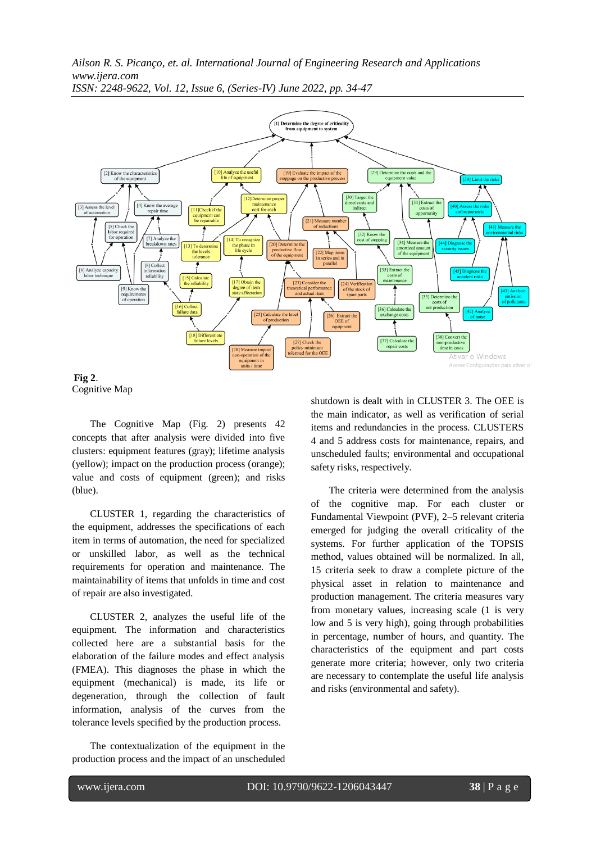*Ailson R. S. Picanço, et. al. International Journal of Engineering Research and Applications www.ijera.com*



*ISSN: 2248-9622, Vol. 12, Issue 6, (Series-IV) June 2022, pp. 34-47*

**Fig 2**. Cognitive Map

The Cognitive Map (Fig. 2) presents 42 concepts that after analysis were divided into five clusters: equipment features (gray); lifetime analysis (yellow); impact on the production process (orange); value and costs of equipment (green); and risks (blue).

CLUSTER 1, regarding the characteristics of the equipment, addresses the specifications of each item in terms of automation, the need for specialized or unskilled labor, as well as the technical requirements for operation and maintenance. The maintainability of items that unfolds in time and cost of repair are also investigated.

CLUSTER 2, analyzes the useful life of the equipment. The information and characteristics collected here are a substantial basis for the elaboration of the failure modes and effect analysis (FMEA). This diagnoses the phase in which the equipment (mechanical) is made, its life or degeneration, through the collection of fault information, analysis of the curves from the tolerance levels specified by the production process.

The contextualization of the equipment in the production process and the impact of an unscheduled shutdown is dealt with in CLUSTER 3. The OEE is the main indicator, as well as verification of serial items and redundancies in the process. CLUSTERS 4 and 5 address costs for maintenance, repairs, and unscheduled faults; environmental and occupational safety risks, respectively.

The criteria were determined from the analysis of the cognitive map. For each cluster or Fundamental Viewpoint (PVF), 2–5 relevant criteria emerged for judging the overall criticality of the systems. For further application of the TOPSIS method, values obtained will be normalized. In all, 15 criteria seek to draw a complete picture of the physical asset in relation to maintenance and production management. The criteria measures vary from monetary values, increasing scale (1 is very low and 5 is very high), going through probabilities in percentage, number of hours, and quantity. The characteristics of the equipment and part costs generate more criteria; however, only two criteria are necessary to contemplate the useful life analysis and risks (environmental and safety).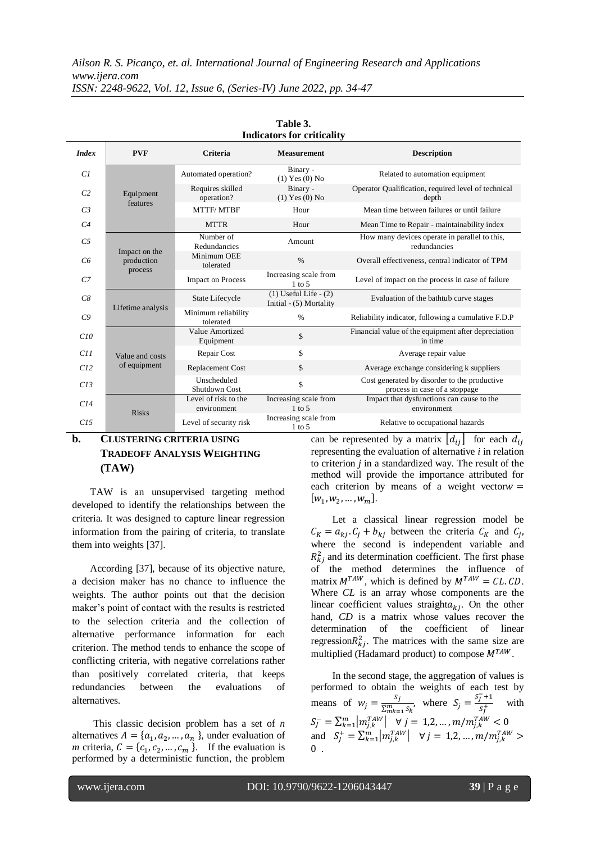|                | munanois ioi vinnamy                   |                                     |                                                      |                                                                               |  |  |  |  |  |  |
|----------------|----------------------------------------|-------------------------------------|------------------------------------------------------|-------------------------------------------------------------------------------|--|--|--|--|--|--|
| <b>Index</b>   | <b>PVF</b>                             | <b>Criteria</b>                     | <b>Measurement</b>                                   | <b>Description</b>                                                            |  |  |  |  |  |  |
| Cl             |                                        | Automated operation?                | Binary -<br>$(1)$ Yes $(0)$ No                       | Related to automation equipment                                               |  |  |  |  |  |  |
| C <sub>2</sub> | Equipment                              | Requires skilled<br>operation?      | Binary -<br>$(1)$ Yes $(0)$ No                       | Operator Qualification, required level of technical<br>depth                  |  |  |  |  |  |  |
| C <sub>3</sub> | features                               | MTTF/MTBF                           | Hour                                                 | Mean time between failures or until failure                                   |  |  |  |  |  |  |
| C <sub>4</sub> |                                        | <b>MTTR</b>                         | Hour                                                 | Mean Time to Repair - maintainability index                                   |  |  |  |  |  |  |
| C <sub>5</sub> |                                        | Number of<br>Redundancies           | Amount                                               | How many devices operate in parallel to this,<br>redundancies                 |  |  |  |  |  |  |
| C6             | Impact on the<br>production<br>process | Minimum OEE<br>tolerated            | $\frac{0}{0}$                                        | Overall effectiveness, central indicator of TPM                               |  |  |  |  |  |  |
| $C$ 7          |                                        | <b>Impact on Process</b>            | Increasing scale from<br>$1$ to $5$                  | Level of impact on the process in case of failure                             |  |  |  |  |  |  |
| C8             | Lifetime analysis                      | State Lifecycle                     | $(1)$ Useful Life - $(2)$<br>Initial - (5) Mortality | Evaluation of the bathtub curve stages                                        |  |  |  |  |  |  |
| C9             |                                        | Minimum reliability<br>tolerated    | $\%$                                                 | Reliability indicator, following a cumulative F.D.P                           |  |  |  |  |  |  |
| C10            |                                        | Value Amortized<br>Equipment        | \$                                                   | Financial value of the equipment after depreciation<br>in time                |  |  |  |  |  |  |
| C11            | Value and costs                        | Repair Cost                         | \$                                                   | Average repair value                                                          |  |  |  |  |  |  |
| C12            | of equipment                           | <b>Replacement Cost</b>             | \$                                                   | Average exchange considering k suppliers                                      |  |  |  |  |  |  |
| C13            |                                        | Unscheduled<br>Shutdown Cost        | \$                                                   | Cost generated by disorder to the productive<br>process in case of a stoppage |  |  |  |  |  |  |
| C14            | <b>Risks</b>                           | Level of risk to the<br>environment | Increasing scale from<br>$1$ to 5                    | Impact that dysfunctions can cause to the<br>environment                      |  |  |  |  |  |  |
| C15            |                                        | Level of security risk              | Increasing scale from<br>$1$ to 5                    | Relative to occupational hazards                                              |  |  |  |  |  |  |

**Table 3. Indicators for criticality**

# **b. CLUSTERING CRITERIA USING TRADEOFF ANALYSIS WEIGHTING (TAW)**

TAW is an unsupervised targeting method developed to identify the relationships between the criteria. It was designed to capture linear regression information from the pairing of criteria, to translate them into weights [37].

According [37], because of its objective nature, a decision maker has no chance to influence the weights. The author points out that the decision maker's point of contact with the results is restricted to the selection criteria and the collection of alternative performance information for each criterion. The method tends to enhance the scope of conflicting criteria, with negative correlations rather than positively correlated criteria, that keeps redundancies between the evaluations of alternatives.

This classic decision problem has a set of *n* alternatives  $A = \{a_1, a_2, ..., a_n\}$ , under evaluation of *m* criteria,  $C = \{c_1, c_2, ..., c_m\}$ . If the evaluation is performed by a deterministic function, the problem

can be represented by a matrix  $|d_{ii}|$  for each  $d_{ii}$ representing the evaluation of alternative *i* in relation to criterion *j* in a standardized way. The result of the method will provide the importance attributed for each criterion by means of a weight vector  $w =$  $[w_1, w_2, ..., w_m].$ 

Let a classical linear regression model be  $C_K = a_{ki}$ .  $C_i + b_{ki}$  between the criteria  $C_K$  and  $C_i$ , where the second is independent variable and  $R_{ki}^2$  and its determination coefficient. The first phase of the method determines the influence of matrix  $M^{TAW}$ , which is defined by  $M^{TAW} = CL$ . CD. Where *CL* is an array whose components are the linear coefficient values straight $a_{ki}$ . On the other hand, *CD* is a matrix whose values recover the determination of the coefficient of linear regression $R_{ki}^2$ . The matrices with the same size are multiplied (Hadamard product) to compose  $M^{TAW}$ .

In the second stage, the aggregation of values is performed to obtain the weights of each test by means of  $w_i = \frac{s}{\sqrt{m}}$  $\frac{S_j}{\sum_{m,k=1}^m S_k}$ , where  $S_j = \frac{S_j}{S}$  $\frac{f}{s_I^+}$  with  $S_j^- = \sum_{k=1}^m \left| m_{j,k}^{TAW} \right| \;\;\; \forall \; j = 1,2,...,m/m_{j,k}^T$ and  $S_j^+ = \sum_{k=1}^m \left| m_{j,k}^{TAW} \right| \quad \forall j = 1,2,...,m/m_{j,k}^T$  $\mathbf{0}$ .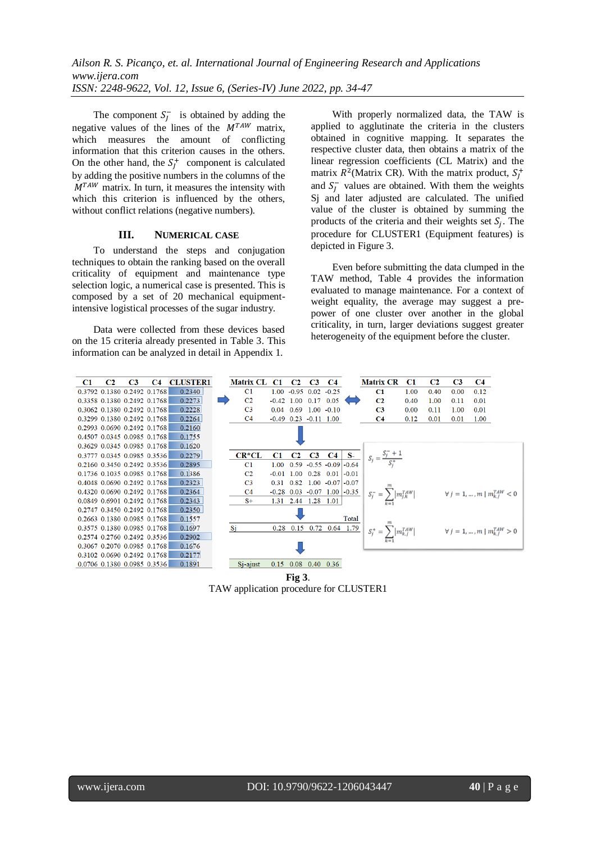The component  $S_I^-$  is obtained by adding the negative values of the lines of the  $M^{TAW}$  matrix, which measures the amount of conflicting information that this criterion causes in the others. On the other hand, the  $S_t^+$  component is calculated by adding the positive numbers in the columns of the  $M^{TAW}$  matrix. In turn, it measures the intensity with which this criterion is influenced by the others, without conflict relations (negative numbers).

#### **III. NUMERICAL CASE**

To understand the steps and conjugation techniques to obtain the ranking based on the overall criticality of equipment and maintenance type selection logic, a numerical case is presented. This is composed by a set of 20 mechanical equipmentintensive logistical processes of the sugar industry.

Data were collected from these devices based on the 15 criteria already presented in Table 3. This information can be analyzed in detail in Appendix 1.

With properly normalized data, the TAW is applied to agglutinate the criteria in the clusters obtained in cognitive mapping. It separates the respective cluster data, then obtains a matrix of the linear regression coefficients (CL Matrix) and the matrix  $R^2$ (Matrix CR). With the matrix product,  $S_t^+$ and  $S_I^-$  values are obtained. With them the weights Sj and later adjusted are calculated. The unified value of the cluster is obtained by summing the products of the criteria and their weights set  $S_i$ . The procedure for CLUSTER1 (Equipment features) is depicted in Figure 3.

Even before submitting the data clumped in the TAW method, Table 4 provides the information evaluated to manage maintenance. For a context of weight equality, the average may suggest a prepower of one cluster over another in the global criticality, in turn, larger deviations suggest greater heterogeneity of the equipment before the cluster.



**Fig 3**. TAW application procedure for CLUSTER1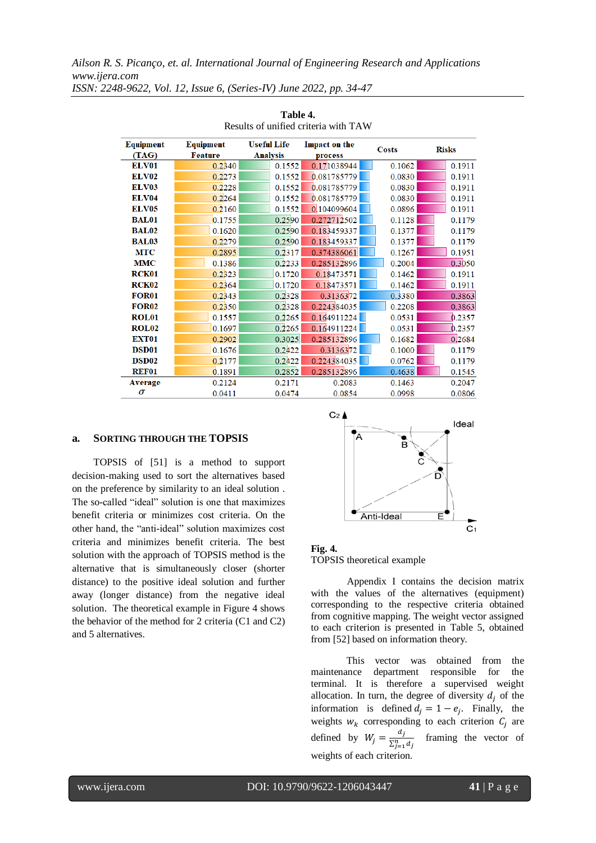| Equipment         | <b>Equipment</b> | <b>Useful Life</b> | <b>Impact on the</b>    |        |              |
|-------------------|------------------|--------------------|-------------------------|--------|--------------|
| (TAG)             | <b>Feature</b>   | <b>Analysis</b>    | <b>Costs</b><br>process |        | <b>Risks</b> |
| <b>ELV01</b>      | 0.2340           | 0.1552             | 0.171038944             | 0.1062 | 0.1911       |
| <b>ELV02</b>      | 0.2273           | 0.1552             | 0.081785779             | 0.0830 | 0.1911       |
| <b>ELV03</b>      | 0.2228           | 0.1552             | 0.081785779             | 0.0830 | 0.1911       |
| <b>ELV04</b>      | 0.2264           | 0.1552             | 0.081785779             | 0.0830 | 0.1911       |
| <b>ELV05</b>      | 0.2160           | 0.1552             | 0.104099604             | 0.0896 | 0.1911       |
| <b>BAL01</b>      | 0.1755           | 0.2590             | 0.272712502             | 0.1128 | 0.1179       |
| <b>BAL02</b>      | 0.1620           | 0.2590             | 0.183459337             | 0.1377 | 0.1179       |
| <b>BAL03</b>      | 0.2279           | 0.2590             | 0.183459337             | 0.1377 | 0.1179       |
| <b>MTC</b>        | 0.2895           | 0.2317             | 0.374386061             | 0.1267 | 0.1951       |
| <b>MMC</b>        | 0.1386           | 0.2233             | 0.285132896             | 0.2004 | 0.3050       |
| RCK01             | 0.2323           | 0.1720             | 0.18473571              | 0.1462 | 0.1911       |
| RCK <sub>02</sub> | 0.2364           | 0.1720             | 0.18473571              | 0.1462 | 0.1911       |
| <b>FOR01</b>      | 0.2343           | 0.2328             | 0.3136372               | 0.3380 | 0.3863       |
| <b>FOR02</b>      | 0.2350           | 0.2328             | 0.224384035             | 0.2208 | 0.3863       |
| <b>ROL01</b>      | 0.1557           | 0.2265             | 0.164911224             | 0.0531 | 0.2357       |
| <b>ROL02</b>      | 0.1697           | 0.2265             | 0.164911224             | 0.0531 | 0.2357       |
| <b>EXT01</b>      | 0.2902           | 0.3025             | 0.285132896             | 0.1682 | 0.2684       |
| DSD <sub>01</sub> | 0.1676           | 0.2422             | 0.3136372               | 0.1000 | 0.1179       |
| DSD <sub>02</sub> | 0.2177           | 0.2422             | 0.224384035             | 0.0762 | 0.1179       |
| <b>REF01</b>      | 0.1891           | 0.2852             | 0.285132896             | 0.4638 | 0.1545       |
| <b>Average</b>    | 0.2124           | 0.2171             | 0.2083                  | 0.1463 | 0.2047       |
| $\sigma$          | 0.0411           | 0.0474             | 0.0854                  | 0.0998 | 0.0806       |

**Table 4.** Results of unified criteria with TAW

#### **a. SORTING THROUGH THE TOPSIS**

TOPSIS of [51] is a method to support decision-making used to sort the alternatives based on the preference by similarity to an ideal solution . The so-called "ideal" solution is one that maximizes benefit criteria or minimizes cost criteria. On the other hand, the "anti-ideal" solution maximizes cost criteria and minimizes benefit criteria. The best solution with the approach of TOPSIS method is the alternative that is simultaneously closer (shorter distance) to the positive ideal solution and further away (longer distance) from the negative ideal solution. The theoretical example in Figure 4 shows the behavior of the method for 2 criteria (C1 and C2) and 5 alternatives.





Appendix I contains the decision matrix with the values of the alternatives (equipment) corresponding to the respective criteria obtained from cognitive mapping. The weight vector assigned to each criterion is presented in Table 5, obtained from [52] based on information theory.

This vector was obtained from the maintenance department responsible for the terminal. It is therefore a supervised weight allocation. In turn, the degree of diversity  $d_i$  of the information is defined  $d_i = 1 - e_i$ . Finally, the weights  $w_k$  corresponding to each criterion  $C_i$  are defined by  $W_i = \frac{d}{\sqrt{n}}$  $\Sigma^n_j$ framing the vector of weights of each criterion.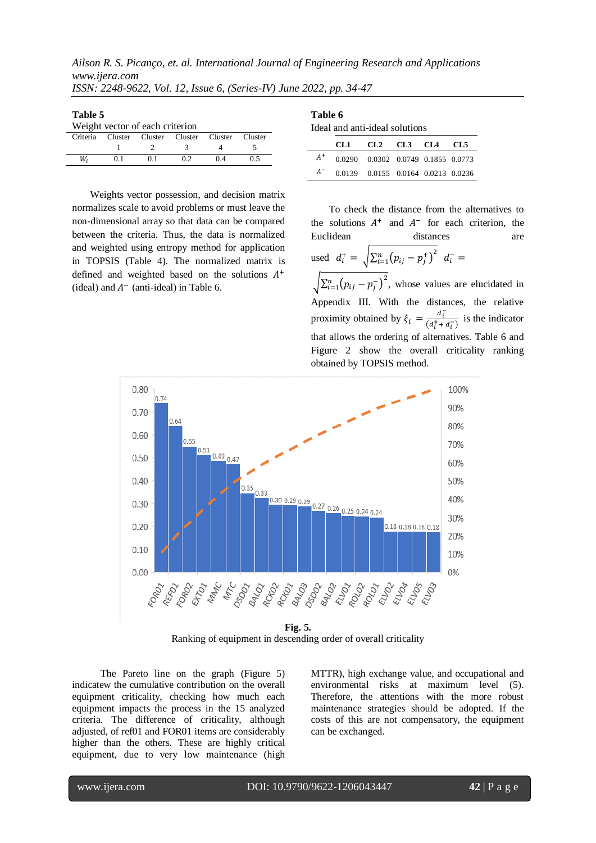*Ailson R. S. Picanço, et. al. International Journal of Engineering Research and Applications www.ijera.com*

| ISSN: 2248-9622, Vol. 12, Issue 6, (Series-IV) June 2022, pp. 34-47 |  |  |  |  |  |  |  |  |  |
|---------------------------------------------------------------------|--|--|--|--|--|--|--|--|--|
|---------------------------------------------------------------------|--|--|--|--|--|--|--|--|--|

| Table 5 |  |  |  |
|---------|--|--|--|
|         |  |  |  |

| Weight vector of each criterion |  |                                                  |    |  |     |  |  |  |  |
|---------------------------------|--|--------------------------------------------------|----|--|-----|--|--|--|--|
|                                 |  | Criteria Cluster Cluster Cluster Cluster Cluster |    |  |     |  |  |  |  |
|                                 |  |                                                  |    |  |     |  |  |  |  |
| W.                              |  |                                                  | 02 |  | 0.5 |  |  |  |  |

Weights vector possession, and decision matrix normalizes scale to avoid problems or must leave the non-dimensional array so that data can be compared between the criteria. Thus, the data is normalized and weighted using entropy method for application in TOPSIS (Table 4). The normalized matrix is defined and weighted based on the solutions  $A<sup>+</sup>$ (ideal) and  $A^-$  (anti-ideal) in Table 6.

|       | Table 6<br>Ideal and anti-ideal solutions |                                    |  |  |  |  |  |  |  |
|-------|-------------------------------------------|------------------------------------|--|--|--|--|--|--|--|
|       |                                           | CL1 CL2 CL3 CL4 CL5                |  |  |  |  |  |  |  |
| $A^+$ |                                           | 0.0290 0.0302 0.0749 0.1855 0.0773 |  |  |  |  |  |  |  |
| $A^-$ |                                           | 0.0139 0.0155 0.0164 0.0213 0.0236 |  |  |  |  |  |  |  |

To check the distance from the alternatives to the solutions  $A^+$  and  $A^-$  for each criterion, the Euclidean distances are used  $d_i^+ = \sqrt{\sum_{i=1}^n (p_{ij} - p_i^+)^2}$  $\sum_{i=1}^{n} (p_{ij} - p_j^{\dagger})^2 d_i^ \left[\sum_{i=1}^n (p_{ii} - p_i^{-})^2\right]$  $_{i=1}^{n}(p_{ij}-p_j^{-})^2$ , whose values are elucidated in Appendix III. With the distances, the relative proximity obtained by  $\xi_i = \frac{d_i^2}{dx_i^2}$  $\frac{a_i}{(d_i^+ + d_i^-)}$  is the indicator that allows the ordering of alternatives. Table 6 and Figure 2 show the overall criticality ranking obtained by TOPSIS method.



Ranking of equipment in descending order of overall criticality

The Pareto line on the graph (Figure 5) indicatew the cumulative contribution on the overall equipment criticality, checking how much each equipment impacts the process in the 15 analyzed criteria. The difference of criticality, although adjusted, of ref01 and FOR01 items are considerably higher than the others. These are highly critical equipment, due to very low maintenance (high MTTR), high exchange value, and occupational and environmental risks at maximum level (5). Therefore, the attentions with the more robust maintenance strategies should be adopted. If the costs of this are not compensatory, the equipment can be exchanged.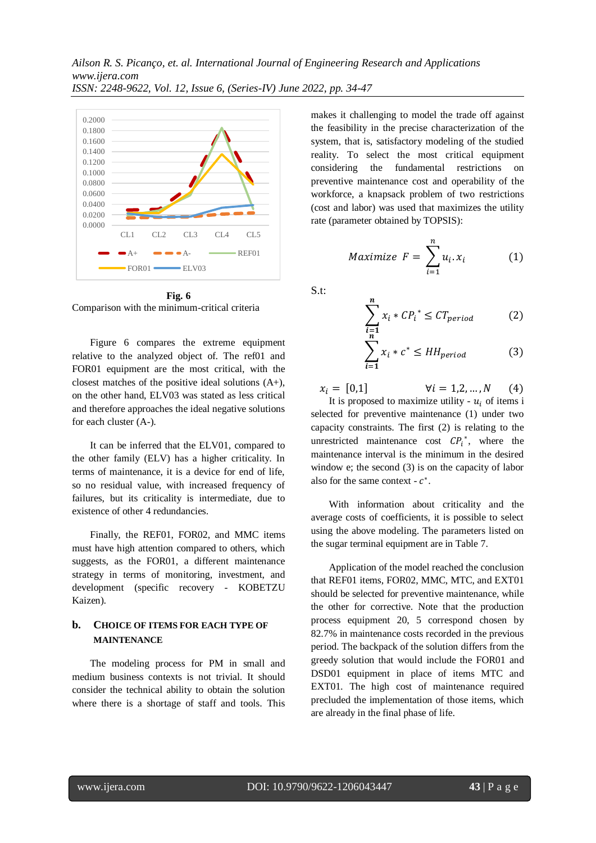

**Fig. 6** Comparison with the minimum-critical criteria

Figure 6 compares the extreme equipment relative to the analyzed object of. The ref01 and FOR01 equipment are the most critical, with the closest matches of the positive ideal solutions (A+), on the other hand, ELV03 was stated as less critical and therefore approaches the ideal negative solutions for each cluster (A-).

It can be inferred that the ELV01, compared to the other family (ELV) has a higher criticality. In terms of maintenance, it is a device for end of life, so no residual value, with increased frequency of failures, but its criticality is intermediate, due to existence of other 4 redundancies.

Finally, the REF01, FOR02, and MMC items must have high attention compared to others, which suggests, as the FOR01, a different maintenance strategy in terms of monitoring, investment, and development (specific recovery - KOBETZU Kaizen).

# **b. CHOICE OF ITEMS FOR EACH TYPE OF MAINTENANCE**

The modeling process for PM in small and medium business contexts is not trivial. It should consider the technical ability to obtain the solution where there is a shortage of staff and tools. This makes it challenging to model the trade off against the feasibility in the precise characterization of the system, that is, satisfactory modeling of the studied reality. To select the most critical equipment considering the fundamental restrictions on preventive maintenance cost and operability of the workforce, a knapsack problem of two restrictions (cost and labor) was used that maximizes the utility rate (parameter obtained by TOPSIS):

$$
Maximize \tF = \sum_{i=1}^{n} u_i \t x_i \t (1)
$$

S.t:

$$
\sum_{\substack{i=1 \ n}}^{n} x_i * CP_i^* \le CT_{period} \tag{2}
$$

$$
\sum_{i=1} x_i * c^* \le HH_{period} \tag{3}
$$

 $x_i = [0,1]$  $\forall i = 1, 2, ..., N$  $(4)$ It is proposed to maximize utility -  $u_i$  of items i selected for preventive maintenance (1) under two capacity constraints. The first (2) is relating to the

unrestricted maintenance cost  $\mathcal{CP}_i^*$ , where the maintenance interval is the minimum in the desired window e; the second (3) is on the capacity of labor also for the same context -  $c^*$ .

With information about criticality and the average costs of coefficients, it is possible to select using the above modeling. The parameters listed on the sugar terminal equipment are in Table 7.

Application of the model reached the conclusion that REF01 items, FOR02, MMC, MTC, and EXT01 should be selected for preventive maintenance, while the other for corrective. Note that the production process equipment 20, 5 correspond chosen by 82.7% in maintenance costs recorded in the previous period. The backpack of the solution differs from the greedy solution that would include the FOR01 and DSD01 equipment in place of items MTC and EXT01. The high cost of maintenance required precluded the implementation of those items, which are already in the final phase of life.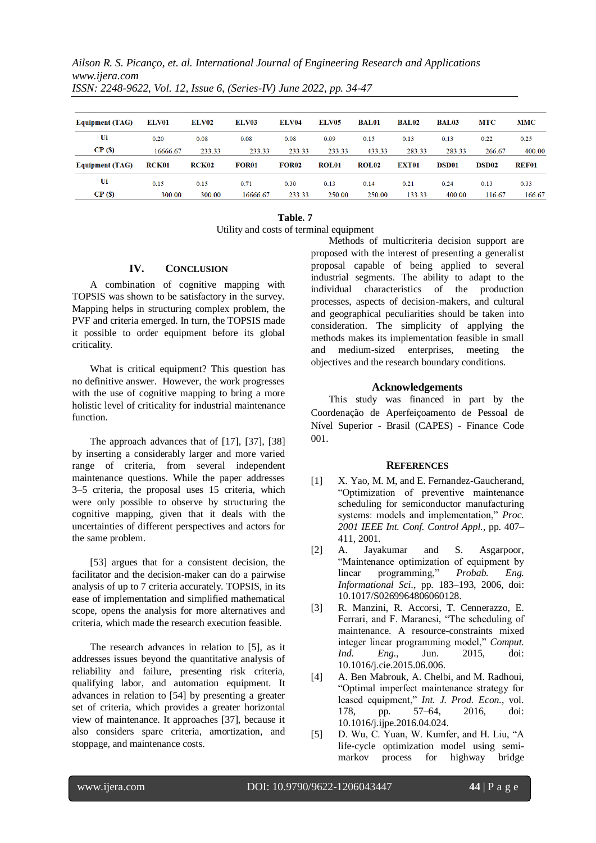*Ailson R. S. Picanço, et. al. International Journal of Engineering Research and Applications www.ijera.com*

| <b>Equipment (TAG)</b> | ELV01        | ELV02        | ELV03        | ELV04        | ELV <sub>05</sub> | <b>BAL01</b>      | <b>BAL02</b> | <b>BAL03</b> | <b>MTC</b>   | <b>MMC</b>   |
|------------------------|--------------|--------------|--------------|--------------|-------------------|-------------------|--------------|--------------|--------------|--------------|
| Ui                     | 0.20         | 0.08         | 0.08         | 0.08         | 0.09              | 0.15              | 0.13         | 0.13         | 0.22         | 0.25         |
| CP( <sub>S</sub> )     | 16666.67     | 233.33       | 233.33       | 233.33       | 233.33            | 433.33            | 283.33       | 283.33       | 266.67       | 400.00       |
| <b>Equipment (TAG)</b> | <b>RCK01</b> | <b>RCK02</b> | <b>FOR01</b> | <b>FOR02</b> | ROL <sub>01</sub> | ROL <sub>02</sub> | <b>EXT01</b> | <b>DSD01</b> | <b>DSD02</b> | <b>REF01</b> |
| Ui                     | 0.15         | 0.15         | 0.71         | 0.30         | 0.13              | 0.14              | 0.21         | 0.24         | 0.13         | 0.33         |
| CP(S)                  | 300.00       | 300.00       | 16666.67     | 233.33       | 250.00            | 250.00            | 133.33       | 400.00       | 116.67       | 166.67       |

*ISSN: 2248-9622, Vol. 12, Issue 6, (Series-IV) June 2022, pp. 34-47*

#### **Table. 7** Utility and costs of terminal equipment

#### **IV. CONCLUSION**

A combination of cognitive mapping with TOPSIS was shown to be satisfactory in the survey. Mapping helps in structuring complex problem, the PVF and criteria emerged. In turn, the TOPSIS made it possible to order equipment before its global criticality.

What is critical equipment? This question has no definitive answer. However, the work progresses with the use of cognitive mapping to bring a more holistic level of criticality for industrial maintenance function.

The approach advances that of [17], [37], [38] by inserting a considerably larger and more varied range of criteria, from several independent maintenance questions. While the paper addresses 3–5 criteria, the proposal uses 15 criteria, which were only possible to observe by structuring the cognitive mapping, given that it deals with the uncertainties of different perspectives and actors for the same problem.

[53] argues that for a consistent decision, the facilitator and the decision-maker can do a pairwise analysis of up to 7 criteria accurately. TOPSIS, in its ease of implementation and simplified mathematical scope, opens the analysis for more alternatives and criteria, which made the research execution feasible.

The research advances in relation to [5], as it addresses issues beyond the quantitative analysis of reliability and failure, presenting risk criteria, qualifying labor, and automation equipment. It advances in relation to [54] by presenting a greater set of criteria, which provides a greater horizontal view of maintenance. It approaches [37], because it also considers spare criteria, amortization, and stoppage, and maintenance costs.

Methods of multicriteria decision support are proposed with the interest of presenting a generalist proposal capable of being applied to several industrial segments. The ability to adapt to the individual characteristics of the production processes, aspects of decision-makers, and cultural and geographical peculiarities should be taken into consideration. The simplicity of applying the methods makes its implementation feasible in small and medium-sized enterprises, meeting the objectives and the research boundary conditions.

#### **Acknowledgements**

This study was financed in part by the Coordenação de Aperfeiçoamento de Pessoal de Nível Superior - Brasil (CAPES) - Finance Code 001.

#### **REFERENCES**

- [1] X. Yao, M. M. and E. Fernandez-Gaucherand, "Optimization of preventive maintenance scheduling for semiconductor manufacturing systems: models and implementation," *Proc. 2001 IEEE Int. Conf. Control Appl.*, pp. 407– 411, 2001.
- [2] A. Jayakumar and S. Asgarpoor, "Maintenance optimization of equipment by linear programming," *Probab. Eng. Informational Sci.*, pp. 183–193, 2006, doi: 10.1017/S0269964806060128.
- [3] R. Manzini, R. Accorsi, T. Cennerazzo, E. Ferrari, and F. Maranesi, "The scheduling of maintenance. A resource-constraints mixed integer linear programming model," *Comput. Ind. Eng.*, Jun. 2015, doi: 10.1016/j.cie.2015.06.006.
- [4] A. Ben Mabrouk, A. Chelbi, and M. Radhoui, "Optimal imperfect maintenance strategy for leased equipment," *Int. J. Prod. Econ.*, vol. 178, pp. 57–64, 2016, doi: 10.1016/j.ijpe.2016.04.024.
- [5] D. Wu, C. Yuan, W. Kumfer, and H. Liu, "A life-cycle optimization model using semimarkov process for highway bridge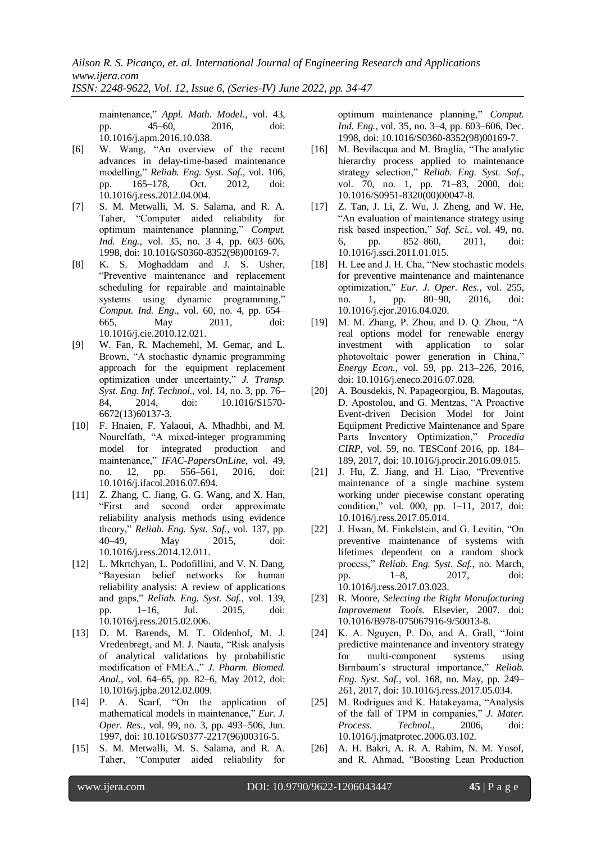*ISSN: 2248-9622, Vol. 12, Issue 6, (Series-IV) June 2022, pp. 34-47*

maintenance," *Appl. Math. Model.*, vol. 43, pp. 45–60, 2016, doi: 10.1016/j.apm.2016.10.038.

- [6] W. Wang, "An overview of the recent advances in delay-time-based maintenance modelling," *Reliab. Eng. Syst. Saf.*, vol. 106, pp. 165–178, Oct. 2012, doi: 10.1016/j.ress.2012.04.004.
- [7] S. M. Metwalli, M. S. Salama, and R. A. Taher, "Computer aided reliability for optimum maintenance planning," *Comput. Ind. Eng.*, vol. 35, no. 3–4, pp. 603–606, 1998, doi: 10.1016/S0360-8352(98)00169-7.
- [8] K. S. Moghaddam and J. S. Usher, "Preventive maintenance and replacement scheduling for repairable and maintainable systems using dynamic programming," *Comput. Ind. Eng.*, vol. 60, no. 4, pp. 654– 665, May 2011, doi: 10.1016/j.cie.2010.12.021.
- [9] W. Fan, R. Machemehl, M. Gemar, and L. Brown, "A stochastic dynamic programming approach for the equipment replacement optimization under uncertainty," *J. Transp. Syst. Eng. Inf. Technol.*, vol. 14, no. 3, pp. 76– 84, 2014, doi: 10.1016/S1570- 6672(13)60137-3.
- [10] F. Hnaien, F. Yalaoui, A. Mhadhbi, and M. Nourelfath, "A mixed-integer programming model for integrated production and maintenance," *IFAC-PapersOnLine*, vol. 49, no. 12, pp. 556–561, 2016, doi: 10.1016/j.ifacol.2016.07.694.
- [11] Z. Zhang, C. Jiang, G. G. Wang, and X. Han, "First and second order approximate reliability analysis methods using evidence theory," *Reliab. Eng. Syst. Saf.*, vol. 137, pp. 40–49, May 2015, doi: 10.1016/j.ress.2014.12.011.
- [12] L. Mkrtchyan, L. Podofillini, and V. N. Dang, "Bayesian belief networks for human reliability analysis: A review of applications and gaps," *Reliab. Eng. Syst. Saf.*, vol. 139, pp. 1–16, Jul. 2015, doi: 10.1016/j.ress.2015.02.006.
- [13] D. M. Barends, M. T. Oldenhof, M. J. Vredenbregt, and M. J. Nauta, "Risk analysis of analytical validations by probabilistic modification of FMEA.," *J. Pharm. Biomed. Anal.*, vol. 64–65, pp. 82–6, May 2012, doi: 10.1016/j.jpba.2012.02.009.
- [14] P. A. Scarf, "On the application of mathematical models in maintenance," *Eur. J. Oper. Res.*, vol. 99, no. 3, pp. 493–506, Jun. 1997, doi: 10.1016/S0377-2217(96)00316-5.
- [15] S. M. Metwalli, M. S. Salama, and R. A. Taher, "Computer aided reliability for

optimum maintenance planning," *Comput. Ind. Eng.*, vol. 35, no. 3–4, pp. 603–606, Dec. 1998, doi: 10.1016/S0360-8352(98)00169-7.

- [16] M. Bevilacqua and M. Braglia, "The analytic hierarchy process applied to maintenance strategy selection," *Reliab. Eng. Syst. Saf.*, vol. 70, no. 1, pp. 71–83, 2000, doi: 10.1016/S0951-8320(00)00047-8.
- [17] Z. Tan, J. Li, Z. Wu, J. Zheng, and W. He, "An evaluation of maintenance strategy using risk based inspection," *Saf. Sci.*, vol. 49, no. 6, pp. 852–860, 2011, doi: 10.1016/j.ssci.2011.01.015.
- [18] H. Lee and J. H. Cha, "New stochastic models for preventive maintenance and maintenance optimization," *Eur. J. Oper. Res.*, vol. 255, no. 1, pp. 80–90, 2016, doi: 10.1016/j.ejor.2016.04.020.
- [19] M. M. Zhang, P. Zhou, and D. Q. Zhou, "A real options model for renewable energy investment with application to solar photovoltaic power generation in China," *Energy Econ.*, vol. 59, pp. 213–226, 2016, doi: 10.1016/j.eneco.2016.07.028.
- [20] A. Bousdekis, N. Papageorgiou, B. Magoutas, D. Apostolou, and G. Mentzas, "A Proactive Event-driven Decision Model for Joint Equipment Predictive Maintenance and Spare Parts Inventory Optimization," *Procedia CIRP*, vol. 59, no. TESConf 2016, pp. 184– 189, 2017, doi: 10.1016/j.procir.2016.09.015.
- [21] J. Hu, Z. Jiang, and H. Liao, "Preventive maintenance of a single machine system working under piecewise constant operating condition," vol. 000, pp. 1–11, 2017, doi: 10.1016/j.ress.2017.05.014.
- [22] J. Hwan, M. Finkelstein, and G. Levitin, "On preventive maintenance of systems with lifetimes dependent on a random shock process," *Reliab. Eng. Syst. Saf.*, no. March, pp. 1–8, 2017, doi: 10.1016/j.ress.2017.03.023.
- [23] R. Moore, *Selecting the Right Manufacturing Improvement Tools*. Elsevier, 2007. doi: 10.1016/B978-075067916-9/50013-8.
- [24] K. A. Nguyen, P. Do, and A. Grall, "Joint predictive maintenance and inventory strategy for multi-component systems using Birnbaum's structural importance," *Reliab. Eng. Syst. Saf.*, vol. 168, no. May, pp. 249– 261, 2017, doi: 10.1016/j.ress.2017.05.034.
- [25] M. Rodrigues and K. Hatakeyama, "Analysis of the fall of TPM in companies," *J. Mater. Process. Technol.*, 2006, doi: 10.1016/j.jmatprotec.2006.03.102.
- [26] A. H. Bakri, A. R. A. Rahim, N. M. Yusof, and R. Ahmad, "Boosting Lean Production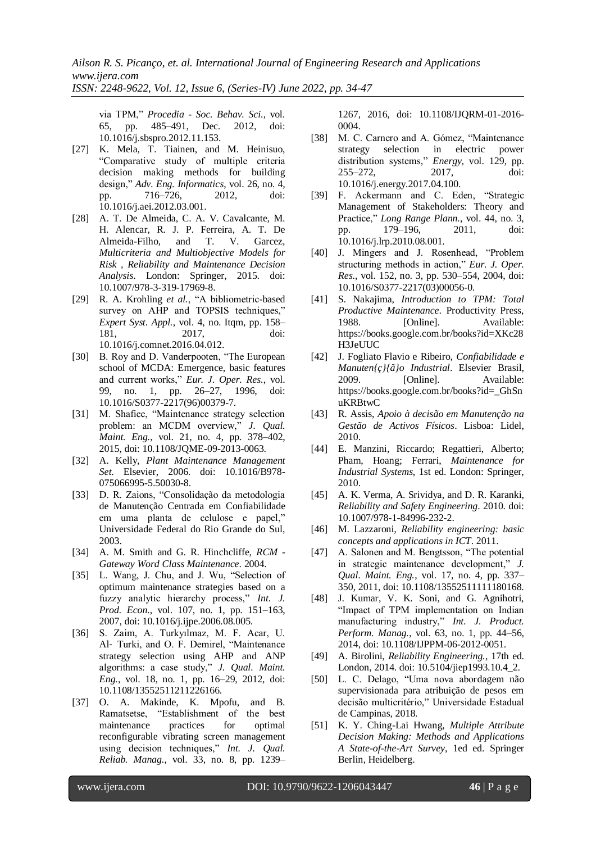via TPM," *Procedia - Soc. Behav. Sci.*, vol. 65, pp. 485–491, Dec. 2012, doi: 10.1016/j.sbspro.2012.11.153.

- [27] K. Mela, T. Tiainen, and M. Heinisuo, "Comparative study of multiple criteria decision making methods for building design," *Adv. Eng. Informatics*, vol. 26, no. 4, pp. 716–726, 2012, doi: 10.1016/j.aei.2012.03.001.
- [28] A. T. De Almeida, C. A. V. Cavalcante, M. H. Alencar, R. J. P. Ferreira, A. T. De Almeida-Filho, and T. V. Garcez, *Multicriteria and Multiobjective Models for Risk , Reliability and Maintenance Decision Analysis*. London: Springer, 2015. doi: 10.1007/978-3-319-17969-8.
- [29] R. A. Krohling *et al.*, "A bibliometric-based survey on AHP and TOPSIS techniques," *Expert Syst. Appl.*, vol. 4, no. Itqm, pp. 158– 181, 2017, doi: 10.1016/j.comnet.2016.04.012.
- [30] B. Roy and D. Vanderpooten, "The European school of MCDA: Emergence, basic features and current works," *Eur. J. Oper. Res.*, vol. 99, no. 1, pp. 26–27, 1996, doi: 10.1016/S0377-2217(96)00379-7.
- [31] M. Shafiee, "Maintenance strategy selection problem: an MCDM overview," *J. Qual. Maint. Eng.*, vol. 21, no. 4, pp. 378–402, 2015, doi: 10.1108/JQME-09-2013-0063.
- [32] A. Kelly, *Plant Maintenance Management Set*. Elsevier, 2006. doi: 10.1016/B978- 075066995-5.50030-8.
- [33] D. R. Zaions, "Consolidação da metodologia de Manutenção Centrada em Confiabilidade em uma planta de celulose e papel," Universidade Federal do Rio Grande do Sul, 2003.
- [34] A. M. Smith and G. R. Hinchcliffe, *RCM - Gateway Word Class Maintenance*. 2004.
- [35] L. Wang, J. Chu, and J. Wu, "Selection of optimum maintenance strategies based on a fuzzy analytic hierarchy process," *Int. J. Prod. Econ.*, vol. 107, no. 1, pp. 151–163, 2007, doi: 10.1016/j.ijpe.2006.08.005.
- [36] S. Zaim, A. Turkyılmaz, M. F. Acar, U. Al‐ Turki, and O. F. Demirel, "Maintenance strategy selection using AHP and ANP algorithms: a case study," *J. Qual. Maint. Eng.*, vol. 18, no. 1, pp. 16–29, 2012, doi: 10.1108/13552511211226166.
- [37] O. A. Makinde, K. Mpofu, and B. Ramatsetse, "Establishment of the best maintenance practices for optimal reconfigurable vibrating screen management using decision techniques," *Int. J. Qual. Reliab. Manag.*, vol. 33, no. 8, pp. 1239–

1267, 2016, doi: 10.1108/IJQRM-01-2016- 0004.

- [38] M. C. Carnero and A. Gómez, "Maintenance strategy selection in electric power distribution systems," *Energy*, vol. 129, pp. 255–272, 2017, doi: 10.1016/j.energy.2017.04.100.
- [39] F. Ackermann and C. Eden, "Strategic Management of Stakeholders: Theory and Practice," *Long Range Plann.*, vol. 44, no. 3, pp. 179–196, 2011, doi: 10.1016/j.lrp.2010.08.001.
- [40] J. Mingers and J. Rosenhead, "Problem structuring methods in action," *Eur. J. Oper. Res.*, vol. 152, no. 3, pp. 530–554, 2004, doi: 10.1016/S0377-2217(03)00056-0.
- [41] S. Nakajima, *Introduction to TPM: Total Productive Maintenance*. Productivity Press, 1988. [Online]. Available: https://books.google.com.br/books?id=XKc28 H3JeUUC
- [42] J. Fogliato Flavio e Ribeiro, *Confiabilidade e Manuten{ç}{ã}o Industrial*. Elsevier Brasil, 2009. [Online]. Available: https://books.google.com.br/books?id=\_GhSn uKRBtwC
- [43] R. Assis, *Apoio à decisão em Manutenção na Gestão de Activos Físicos*. Lisboa: Lidel, 2010.
- [44] E. Manzini, Riccardo; Regattieri, Alberto; Pham, Hoang; Ferrari, *Maintenance for Industrial Systems*, 1st ed. London: Springer, 2010.
- [45] A. K. Verma, A. Srividya, and D. R. Karanki, *Reliability and Safety Engineering*. 2010. doi: 10.1007/978-1-84996-232-2.
- [46] M. Lazzaroni, *Reliability engineering: basic concepts and applications in ICT*. 2011.
- [47] A. Salonen and M. Bengtsson, "The potential in strategic maintenance development," *J. Qual. Maint. Eng.*, vol. 17, no. 4, pp. 337– 350, 2011, doi: 10.1108/13552511111180168.
- [48] J. Kumar, V. K. Soni, and G. Agnihotri, "Impact of TPM implementation on Indian manufacturing industry," *Int. J. Product. Perform. Manag.*, vol. 63, no. 1, pp. 44–56, 2014, doi: 10.1108/IJPPM-06-2012-0051.
- [49] A. Birolini, *Reliability Engineering.*, 17th ed. London, 2014. doi: 10.5104/jiep1993.10.4\_2.
- [50] L. C. Delago, "Uma nova abordagem não supervisionada para atribuição de pesos em decisão multicritério," Universidade Estadual de Campinas, 2018.
- [51] K. Y. Ching-Lai Hwang, *Multiple Attribute Decision Making: Methods and Applications A State-of-the-Art Survey*, 1ed ed. Springer Berlin, Heidelberg.